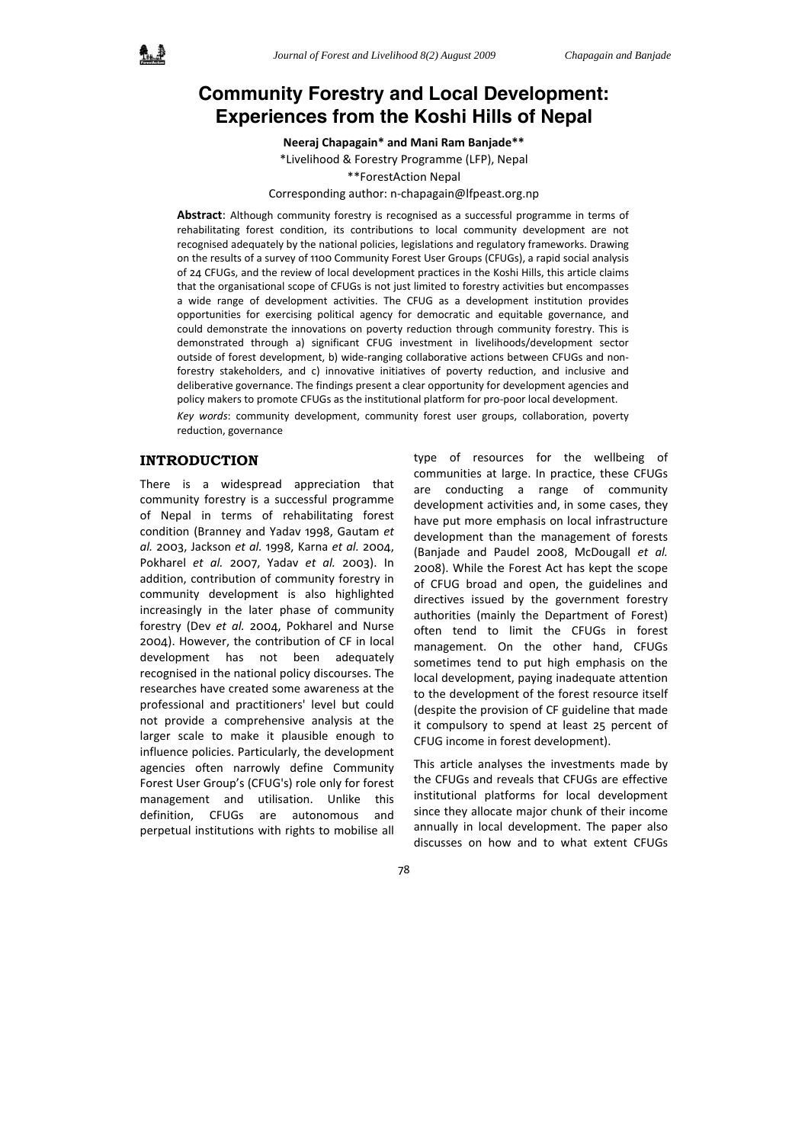# **Community Forestry and Local Development: Experiences from the Koshi Hills of Nepal**

**Neeraj Chapagain\* and Mani Ram Banjade\*\***

\*Livelihood & Forestry Programme (LFP), Nepal \*\*ForestAction Nepal

Corresponding author: n‐chapagain@lfpeast.org.np

**Abstract**: Although community forestry is recognised as a successful programme in terms of rehabilitating forest condition, its contributions to local community development are not recognised adequately by the national policies, legislations and regulatory frameworks. Drawing on the results of a survey of 1100 Community Forest User Groups (CFUGs), a rapid social analysis of 24 CFUGs, and the review of local development practices in the Koshi Hills, this article claims that the organisational scope of CFUGs is not just limited to forestry activities but encompasses a wide range of development activities. The CFUG as a development institution provides opportunities for exercising political agency for democratic and equitable governance, and could demonstrate the innovations on poverty reduction through community forestry. This is demonstrated through a) significant CFUG investment in livelihoods/development sector outside of forest development, b) wide-ranging collaborative actions between CFUGs and nonforestry stakeholders, and c) innovative initiatives of poverty reduction, and inclusive and deliberative governance. The findings present a clear opportunity for development agencies and policy makers to promote CFUGs as the institutional platform for pro‐poor local development. *Key words*: community development, community forest user groups, collaboration, poverty reduction, governance

### **INTRODUCTION**

There is a widespread appreciation that community forestry is a successful programme of Nepal in terms of rehabilitating forest condition (Branney and Yadav 1998, Gautam *et al.* 2003, Jackson *et al.* 1998, Karna *et al.* 2004, Pokharel *et al.* 2007, Yadav *et al.* 2003). In addition, contribution of community forestry in community development is also highlighted increasingly in the later phase of community forestry (Dev *et al.* 2004, Pokharel and Nurse 2004). However, the contribution of CF in local development has not been adequately recognised in the national policy discourses. The researches have created some awareness at the professional and practitioners' level but could not provide a comprehensive analysis at the larger scale to make it plausible enough to influence policies. Particularly, the development agencies often narrowly define Community Forest User Group's (CFUG's) role only for forest management and utilisation. Unlike this definition, CFUGs are autonomous and perpetual institutions with rights to mobilise all

type of resources for the wellbeing of communities at large. In practice, these CFUGs are conducting a range of community development activities and, in some cases, they have put more emphasis on local infrastructure development than the management of forests (Banjade and Paudel 2008, McDougall *et al.* 2008). While the Forest Act has kept the scope of CFUG broad and open, the guidelines and directives issued by the government forestry authorities (mainly the Department of Forest) often tend to limit the CFUGs in forest management. On the other hand, CFUGs sometimes tend to put high emphasis on the local development, paying inadequate attention to the development of the forest resource itself (despite the provision of CF guideline that made it compulsory to spend at least 25 percent of CFUG income in forest development).

This article analyses the investments made by the CFUGs and reveals that CFUGs are effective institutional platforms for local development since they allocate major chunk of their income annually in local development. The paper also discusses on how and to what extent CFUGs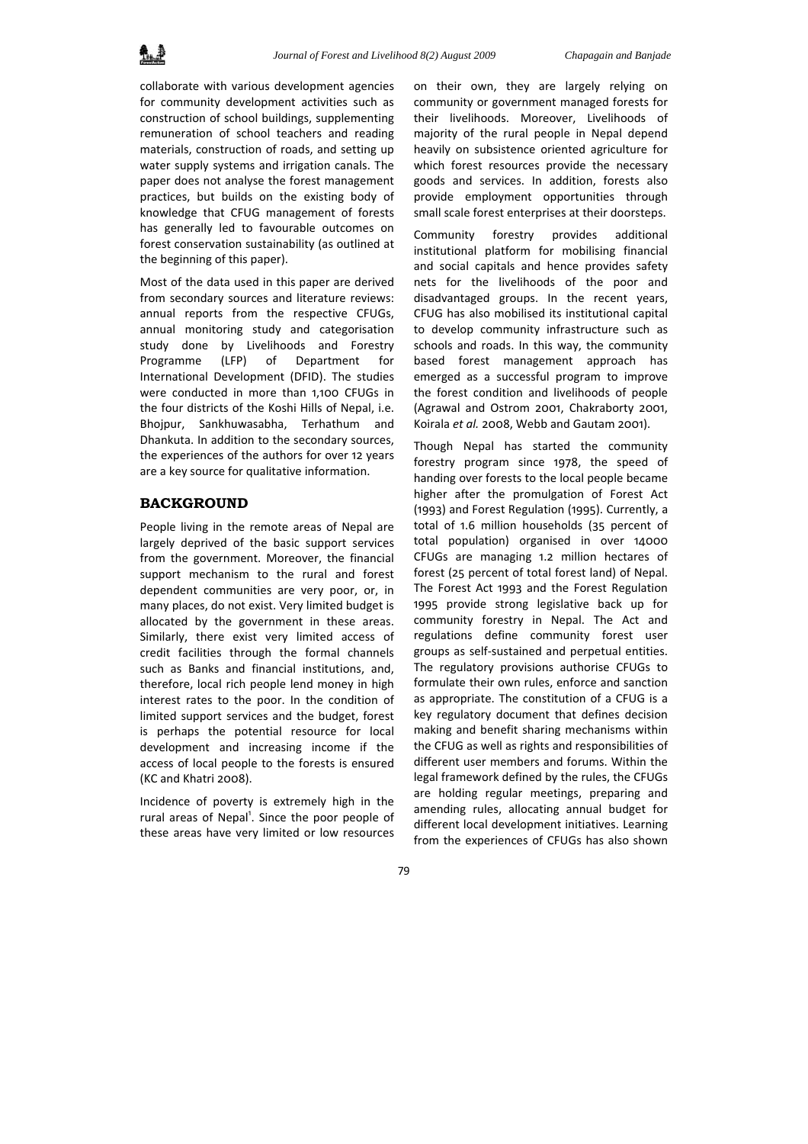collaborate with various development agencies for community development activities such as construction of school buildings, supplementing remuneration of school teachers and reading materials, construction of roads, and setting up water supply systems and irrigation canals. The paper does not analyse the forest management practices, but builds on the existing body of knowledge that CFUG management of forests has generally led to favourable outcomes on forest conservation sustainability (as outlined at the beginning of this paper).

Most of the data used in this paper are derived from secondary sources and literature reviews: annual reports from the respective CFUGs, annual monitoring study and categorisation study done by Livelihoods and Forestry Programme (LFP) of Department for International Development (DFID). The studies were conducted in more than 1,100 CFUGs in the four districts of the Koshi Hills of Nepal, i.e. Bhojpur, Sankhuwasabha, Terhathum and Dhankuta. In addition to the secondary sources, the experiences of the authors for over 12 years are a key source for qualitative information.

# **BACKGROUND**

People living in the remote areas of Nepal are largely deprived of the basic support services from the government. Moreover, the financial support mechanism to the rural and forest dependent communities are very poor, or, in many places, do not exist. Very limited budget is allocated by the government in these areas. Similarly, there exist very limited access of credit facilities through the formal channels such as Banks and financial institutions, and, therefore, local rich people lend money in high interest rates to the poor. In the condition of limited support services and the budget, forest is perhaps the potential resource for local development and increasing income if the access of local people to the forests is ensured (KC and Khatri 2008).

Incidence of poverty is extremely high in the rural areas of Nepal<sup>1</sup>. Since the poor people of these areas have very limited or low resources on their own, they are largely relying on community or government managed forests for their livelihoods. Moreover, Livelihoods of majority of the rural people in Nepal depend heavily on subsistence oriented agriculture for which forest resources provide the necessary goods and services. In addition, forests also provide employment opportunities through small scale forest enterprises at their doorsteps.

Community forestry provides additional institutional platform for mobilising financial and social capitals and hence provides safety nets for the livelihoods of the poor and disadvantaged groups. In the recent years, CFUG has also mobilised its institutional capital to develop community infrastructure such as schools and roads. In this way, the community based forest management approach has emerged as a successful program to improve the forest condition and livelihoods of people (Agrawal and Ostrom 2001, Chakraborty 2001, Koirala *et al.* 2008, Webb and Gautam 2001).

Though Nepal has started the community forestry program since 1978, the speed of handing over forests to the local people became higher after the promulgation of Forest Act (1993) and Forest Regulation (1995). Currently, a total of 1.6 million households (35 percent of total population) organised in over 14000 CFUGs are managing 1.2 million hectares of forest (25 percent of total forest land) of Nepal. The Forest Act 1993 and the Forest Regulation 1995 provide strong legislative back up for community forestry in Nepal. The Act and regulations define community forest user groups as self‐sustained and perpetual entities. The regulatory provisions authorise CFUGs to formulate their own rules, enforce and sanction as appropriate. The constitution of a CFUG is a key regulatory document that defines decision making and benefit sharing mechanisms within the CFUG as well as rights and responsibilities of different user members and forums. Within the legal framework defined by the rules, the CFUGs are holding regular meetings, preparing and amending rules, allocating annual budget for different local development initiatives. Learning from the experiences of CFUGs has also shown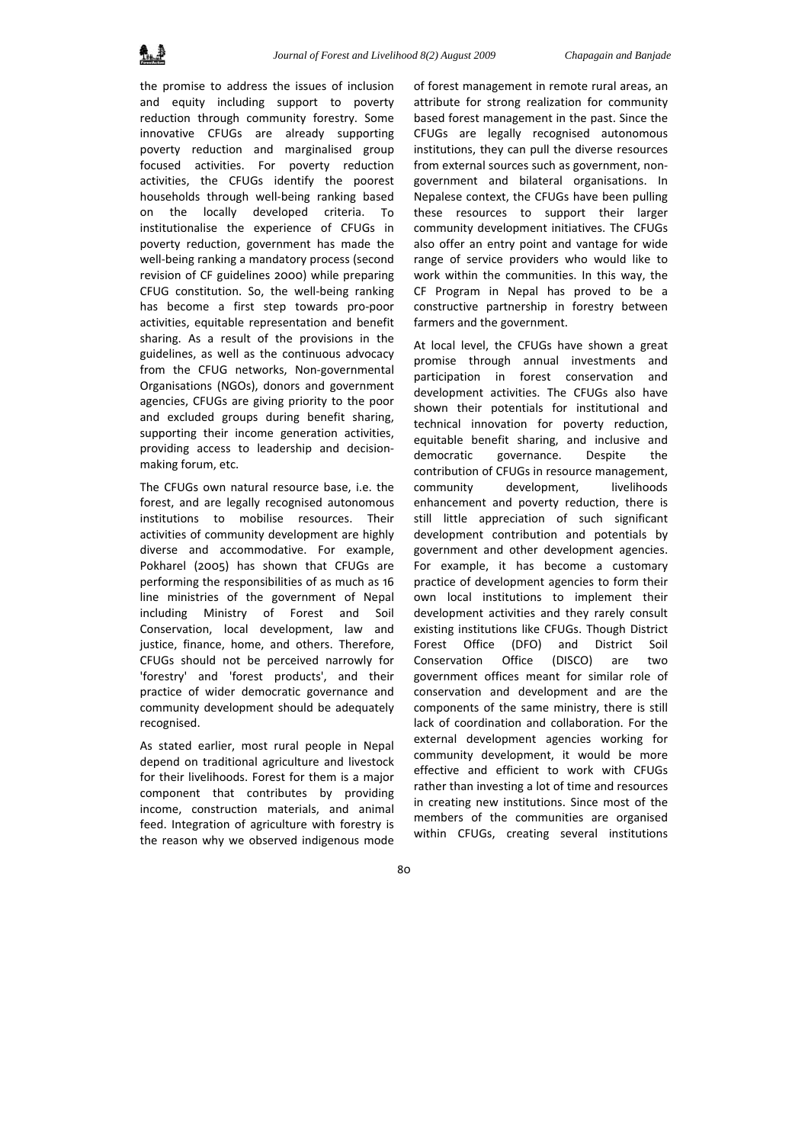the promise to address the issues of inclusion and equity including support to poverty reduction through community forestry. Some innovative CFUGs are already supporting poverty reduction and marginalised group focused activities. For poverty reduction activities, the CFUGs identify the poorest households through well‐being ranking based on the locally developed criteria. To institutionalise the experience of CFUGs in poverty reduction, government has made the well-being ranking a mandatory process (second revision of CF guidelines 2000) while preparing CFUG constitution. So, the well‐being ranking has become a first step towards pro‐poor activities, equitable representation and benefit sharing. As a result of the provisions in the guidelines, as well as the continuous advocacy from the CFUG networks, Non-governmental Organisations (NGOs), donors and government agencies, CFUGs are giving priority to the poor and excluded groups during benefit sharing, supporting their income generation activities, providing access to leadership and decision‐ making forum, etc.

The CFUGs own natural resource base, i.e. the forest, and are legally recognised autonomous institutions to mobilise resources. Their activities of community development are highly diverse and accommodative. For example, Pokharel (2005) has shown that CFUGs are performing the responsibilities of as much as 16 line ministries of the government of Nepal including Ministry of Forest and Soil Conservation, local development, law and justice, finance, home, and others. Therefore, CFUGs should not be perceived narrowly for 'forestry' and 'forest products', and their practice of wider democratic governance and community development should be adequately recognised.

As stated earlier, most rural people in Nepal depend on traditional agriculture and livestock for their livelihoods. Forest for them is a major component that contributes by providing income, construction materials, and animal feed. Integration of agriculture with forestry is the reason why we observed indigenous mode

of forest management in remote rural areas, an attribute for strong realization for community based forest management in the past. Since the CFUGs are legally recognised autonomous institutions, they can pull the diverse resources from external sources such as government, non‐ government and bilateral organisations. In Nepalese context, the CFUGs have been pulling these resources to support their larger community development initiatives. The CFUGs also offer an entry point and vantage for wide range of service providers who would like to work within the communities. In this way, the CF Program in Nepal has proved to be a constructive partnership in forestry between farmers and the government.

At local level, the CFUGs have shown a great promise through annual investments and participation in forest conservation and development activities. The CFUGs also have shown their potentials for institutional and technical innovation for poverty reduction, equitable benefit sharing, and inclusive and democratic governance. Despite the contribution of CFUGs in resource management, community development, livelihoods enhancement and poverty reduction, there is still little appreciation of such significant development contribution and potentials by government and other development agencies. For example, it has become a customary practice of development agencies to form their own local institutions to implement their development activities and they rarely consult existing institutions like CFUGs. Though District Forest Office (DFO) and District Soil Conservation Office (DISCO) are two government offices meant for similar role of conservation and development and are the components of the same ministry, there is still lack of coordination and collaboration. For the external development agencies working for community development, it would be more effective and efficient to work with CFUGs rather than investing a lot of time and resources in creating new institutions. Since most of the members of the communities are organised within CFUGs, creating several institutions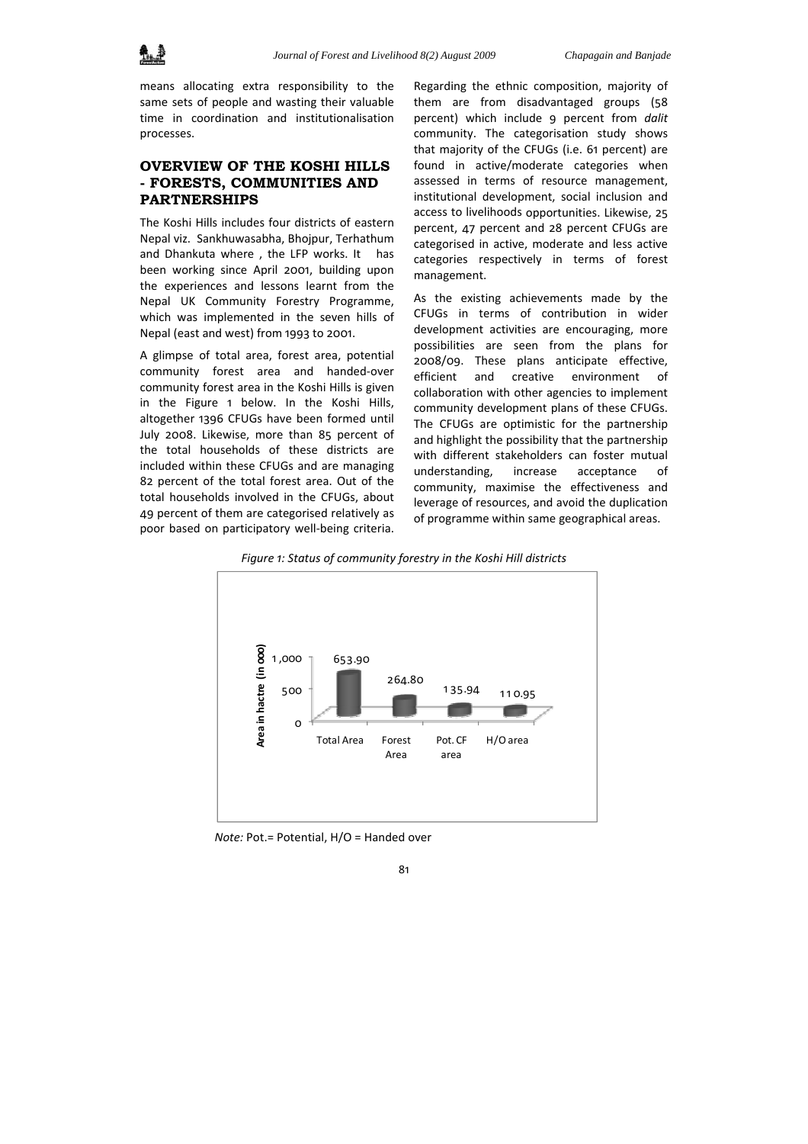

means allocating extra responsibility to the same sets of people and wasting their valuable time in coordination and institutionalisation processes.

# **OVERVIEW OF THE KOSHI HILLS - FORESTS, COMMUNITIES AND PARTNERSHIPS**

The Koshi Hills includes four districts of eastern Nepal viz. Sankhuwasabha, Bhojpur, Terhathum and Dhankuta where , the LFP works. It has been working since April 2001, building upon the experiences and lessons learnt from the Nepal UK Community Forestry Programme, which was implemented in the seven hills of Nepal (east and west) from 1993 to 2001.

A glimpse of total area, forest area, potential community forest area and handed‐over community forest area in the Koshi Hills is given in the Figure 1 below. In the Koshi Hills, altogether 1396 CFUGs have been formed until July 2008. Likewise, more than 85 percent of the total households of these districts are included within these CFUGs and are managing 82 percent of the total forest area. Out of the total households involved in the CFUGs, about 49 percent of them are categorised relatively as poor based on participatory well‐being criteria.

Regarding the ethnic composition, majority of them are from disadvantaged groups (58 percent) which include 9 percent from *dalit* community. The categorisation study shows that majority of the CFUGs (i.e. 61 percent) are found in active/moderate categories when assessed in terms of resource management, institutional development, social inclusion and access to livelihoods opportunities. Likewise, 25 percent, 47 percent and 28 percent CFUGs are categorised in active, moderate and less active categories respectively in terms of forest management.

As the existing achievements made by the CFUGs in terms of contribution in wider development activities are encouraging, more possibilities are seen from the plans for 2008/09. These plans anticipate effective, efficient and creative environment of collaboration with other agencies to implement community development plans of these CFUGs. The CFUGs are optimistic for the partnership and highlight the possibility that the partnership with different stakeholders can foster mutual understanding, increase acceptance of community, maximise the effectiveness and leverage of resources, and avoid the duplication of programme within same geographical areas.



*Figure 1: Status of community forestry in the Koshi Hill districts*

*Note:* Pot.= Potential, H/O = Handed over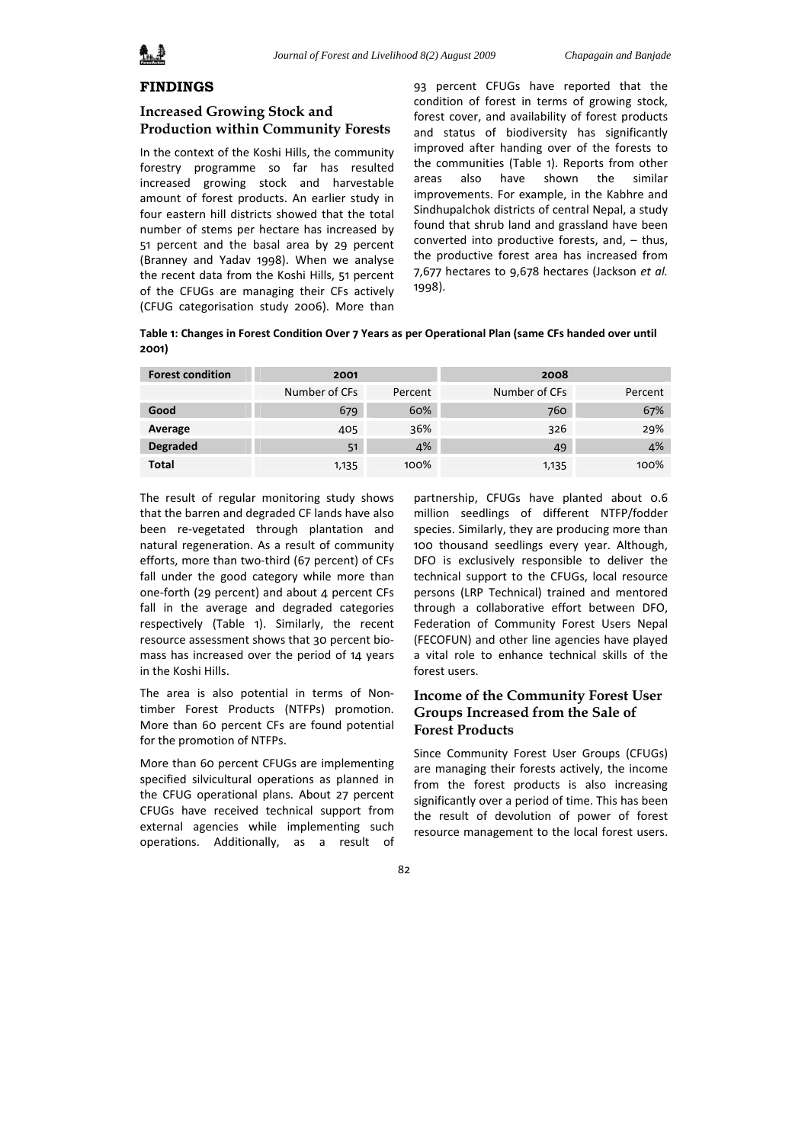

### **FINDINGS**

## **Increased Growing Stock and Production within Community Forests**

In the context of the Koshi Hills, the community forestry programme so far has resulted increased growing stock and harvestable amount of forest products. An earlier study in four eastern hill districts showed that the total number of stems per hectare has increased by 51 percent and the basal area by 29 percent (Branney and Yadav 1998). When we analyse the recent data from the Koshi Hills, 51 percent of the CFUGs are managing their CFs actively (CFUG categorisation study 2006). More than

93 percent CFUGs have reported that the condition of forest in terms of growing stock, forest cover, and availability of forest products and status of biodiversity has significantly improved after handing over of the forests to the communities (Table 1). Reports from other areas also have shown the similar improvements. For example, in the Kabhre and Sindhupalchok districts of central Nepal, a study found that shrub land and grassland have been converted into productive forests, and, – thus, the productive forest area has increased from 7,677 hectares to 9,678 hectares (Jackson *et al.* 1998).

Table 1: Changes in Forest Condition Over 7 Years as per Operational Plan (same CFs handed over until **2001)**

| <b>Forest condition</b> | 2001          |         | 2008          |         |
|-------------------------|---------------|---------|---------------|---------|
|                         | Number of CFs | Percent | Number of CFs | Percent |
| Good                    | 679           | 60%     | 760           | 67%     |
| Average                 | 405           | 36%     | 326           | 29%     |
| <b>Degraded</b>         | 51            | 4%      | 49            | 4%      |
| <b>Total</b>            | 1,135         | 100%    | 1,135         | 100%    |

The result of regular monitoring study shows that the barren and degraded CF lands have also been re‐vegetated through plantation and natural regeneration. As a result of community efforts, more than two-third (67 percent) of CFs fall under the good category while more than one‐forth (29 percent) and about 4 percent CFs fall in the average and degraded categories respectively (Table 1). Similarly, the recent resource assessment shows that 30 percent bio‐ mass has increased over the period of 14 years in the Koshi Hills.

The area is also potential in terms of Nontimber Forest Products (NTFPs) promotion. More than 60 percent CFs are found potential for the promotion of NTFPs.

More than 60 percent CFUGs are implementing specified silvicultural operations as planned in the CFUG operational plans. About 27 percent CFUGs have received technical support from external agencies while implementing such operations. Additionally, as a result of

partnership, CFUGs have planted about 0.6 million seedlings of different NTFP/fodder species. Similarly, they are producing more than 100 thousand seedlings every year. Although, DFO is exclusively responsible to deliver the technical support to the CFUGs, local resource persons (LRP Technical) trained and mentored through a collaborative effort between DFO, Federation of Community Forest Users Nepal (FECOFUN) and other line agencies have played a vital role to enhance technical skills of the forest users.

# **Income of the Community Forest User Groups Increased from the Sale of Forest Products**

Since Community Forest User Groups (CFUGs) are managing their forests actively, the income from the forest products is also increasing significantly over a period of time. This has been the result of devolution of power of forest resource management to the local forest users.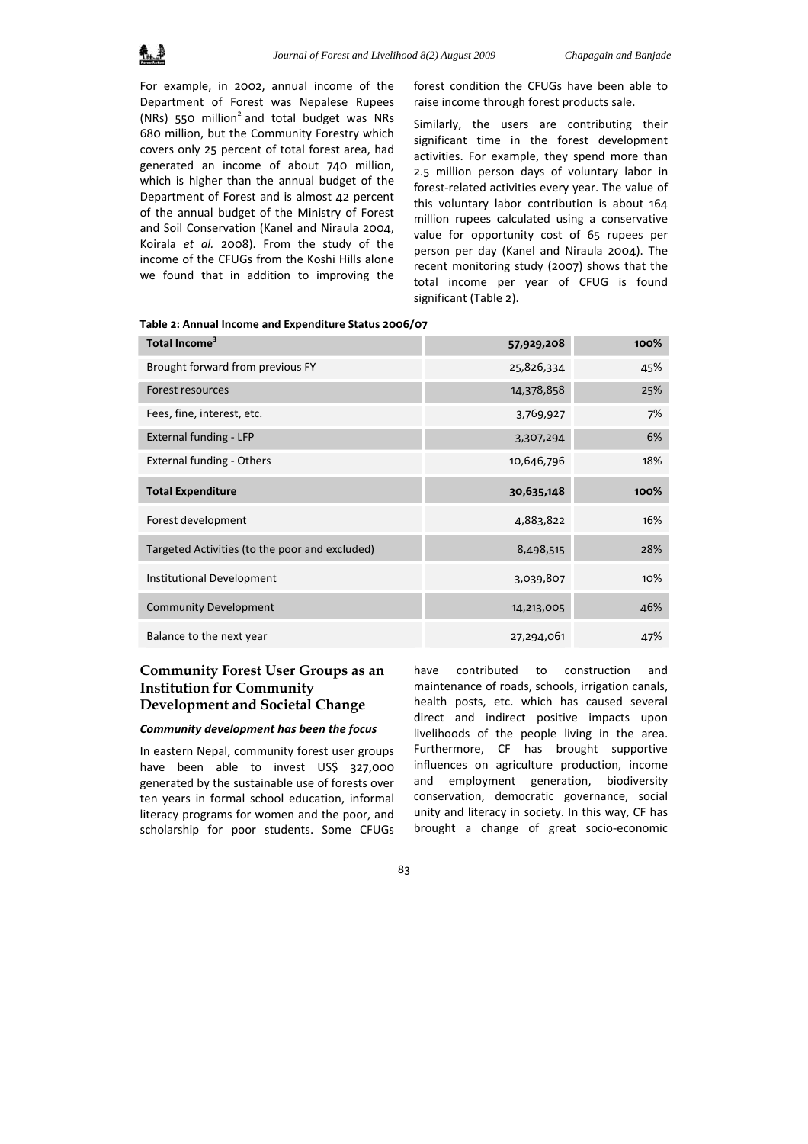For example, in 2002, annual income of the Department of Forest was Nepalese Rupees (NRs) 550 million<sup>2</sup> and total budget was NRs 680 million, but the Community Forestry which covers only 25 percent of total forest area, had generated an income of about 740 million, which is higher than the annual budget of the Department of Forest and is almost 42 percent of the annual budget of the Ministry of Forest and Soil Conservation (Kanel and Niraula 2004, Koirala *et al.* 2008). From the study of the income of the CFUGs from the Koshi Hills alone we found that in addition to improving the

forest condition the CFUGs have been able to raise income through forest products sale.

Similarly, the users are contributing their significant time in the forest development activities. For example, they spend more than 2.5 million person days of voluntary labor in forest‐related activities every year. The value of this voluntary labor contribution is about 164 million rupees calculated using a conservative value for opportunity cost of 65 rupees per person per day (Kanel and Niraula 2004). The recent monitoring study (2007) shows that the total income per year of CFUG is found significant (Table 2).

| Total Income <sup>3</sup>                      | 57,929,208 | 100% |
|------------------------------------------------|------------|------|
| Brought forward from previous FY               | 25,826,334 | 45%  |
| Forest resources                               | 14,378,858 | 25%  |
| Fees, fine, interest, etc.                     | 3,769,927  | 7%   |
| External funding - LFP                         | 3,307,294  | 6%   |
| <b>External funding - Others</b>               | 10,646,796 | 18%  |
| <b>Total Expenditure</b>                       | 30,635,148 | 100% |
| Forest development                             | 4,883,822  | 16%  |
| Targeted Activities (to the poor and excluded) | 8,498,515  | 28%  |
| <b>Institutional Development</b>               | 3,039,807  | 10%  |
| <b>Community Development</b>                   | 14,213,005 | 46%  |
| Balance to the next year                       | 27,294,061 | 47%  |

#### **Table 2: Annual Income and Expenditure Status 2006/07**

# **Community Forest User Groups as an Institution for Community Development and Societal Change**

### *Community development has been the focus*

In eastern Nepal, community forest user groups have been able to invest US\$ 327,000 generated by the sustainable use of forests over ten years in formal school education, informal literacy programs for women and the poor, and scholarship for poor students. Some CFUGs have contributed to construction and maintenance of roads, schools, irrigation canals, health posts, etc. which has caused several direct and indirect positive impacts upon livelihoods of the people living in the area. Furthermore, CF has brought supportive influences on agriculture production, income and employment generation, biodiversity conservation, democratic governance, social unity and literacy in society. In this way, CF has brought a change of great socio‐economic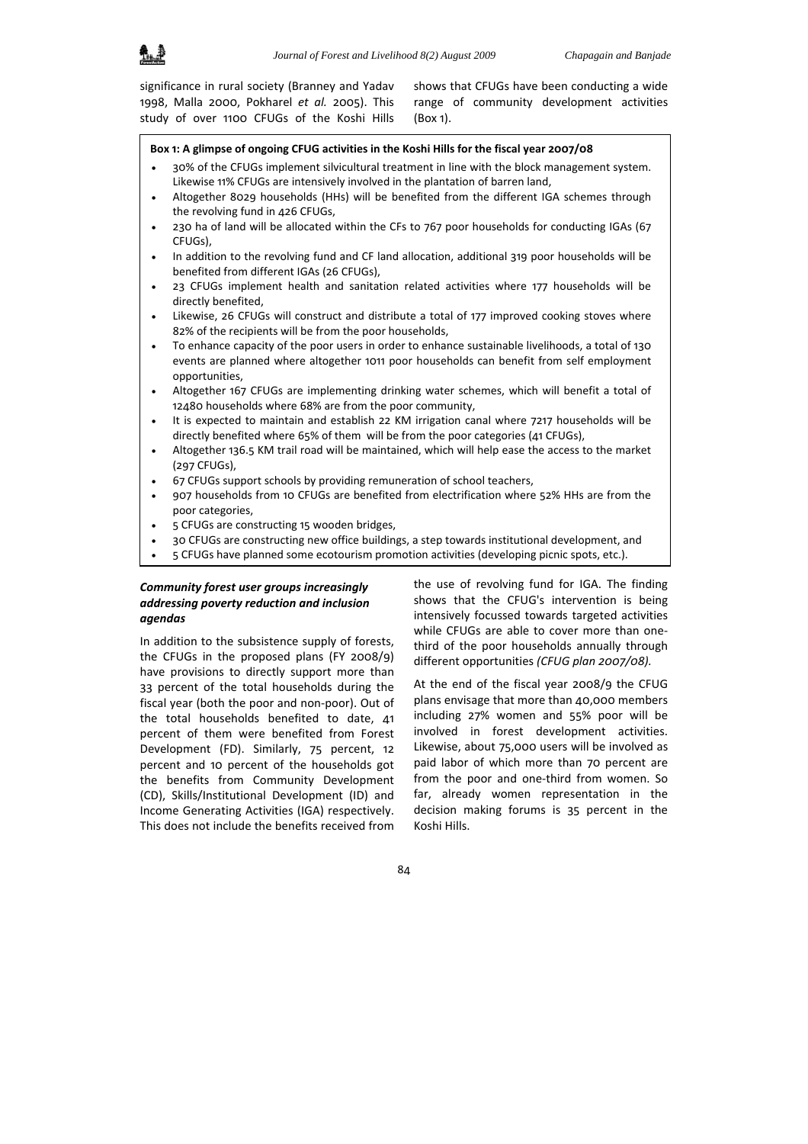

significance in rural society (Branney and Yadav 1998, Malla 2000, Pokharel *et al.* 2005). This study of over 1100 CFUGs of the Koshi Hills shows that CFUGs have been conducting a wide range of community development activities (Box 1).

#### **Box 1: A glimpse of ongoing CFUG activities in the Koshi Hills for the fiscal year 2007/08**

- 30% of the CFUGs implement silvicultural treatment in line with the block management system. Likewise 11% CFUGs are intensively involved in the plantation of barren land,
- Altogether 8029 households (HHs) will be benefited from the different IGA schemes through the revolving fund in 426 CFUGs,
- 230 ha of land will be allocated within the CFs to 767 poor households for conducting IGAs (67 CFUGs),
- In addition to the revolving fund and CF land allocation, additional 319 poor households will be benefited from different IGAs (26 CFUGs),
- 23 CFUGs implement health and sanitation related activities where 177 households will be directly benefited,
- Likewise, 26 CFUGs will construct and distribute a total of 177 improved cooking stoves where 82% of the recipients will be from the poor households,
- To enhance capacity of the poor users in order to enhance sustainable livelihoods, a total of 130 events are planned where altogether 1011 poor households can benefit from self employment opportunities,
- Altogether 167 CFUGs are implementing drinking water schemes, which will benefit a total of 12480 households where 68% are from the poor community,
- It is expected to maintain and establish 22 KM irrigation canal where 7217 households will be directly benefited where 65% of them will be from the poor categories (41 CFUGs),
- Altogether 136.5 KM trail road will be maintained, which will help ease the access to the market (297 CFUGs),
- 67 CFUGs support schools by providing remuneration of school teachers,
- 907 households from 10 CFUGs are benefited from electrification where 52% HHs are from the poor categories,
- 5 CFUGs are constructing 15 wooden bridges,
- 30 CFUGs are constructing new office buildings, a step towards institutional development, and
- 5 CFUGs have planned some ecotourism promotion activities (developing picnic spots, etc.).

### *Community forest user groups increasingly addressing poverty reduction and inclusion agendas*

In addition to the subsistence supply of forests, the CFUGs in the proposed plans (FY 2008/9) have provisions to directly support more than 33 percent of the total households during the fiscal year (both the poor and non‐poor). Out of the total households benefited to date, 41 percent of them were benefited from Forest Development (FD). Similarly, 75 percent, 12 percent and 10 percent of the households got the benefits from Community Development (CD), Skills/Institutional Development (ID) and Income Generating Activities (IGA) respectively. This does not include the benefits received from the use of revolving fund for IGA. The finding shows that the CFUG's intervention is being intensively focussed towards targeted activities while CFUGs are able to cover more than one‐ third of the poor households annually through different opportunities *(CFUG plan 2007/08).*

At the end of the fiscal year 2008/9 the CFUG plans envisage that more than 40,000 members including 27% women and 55% poor will be involved in forest development activities. Likewise, about 75,000 users will be involved as paid labor of which more than 70 percent are from the poor and one-third from women. So far, already women representation in the decision making forums is 35 percent in the Koshi Hills.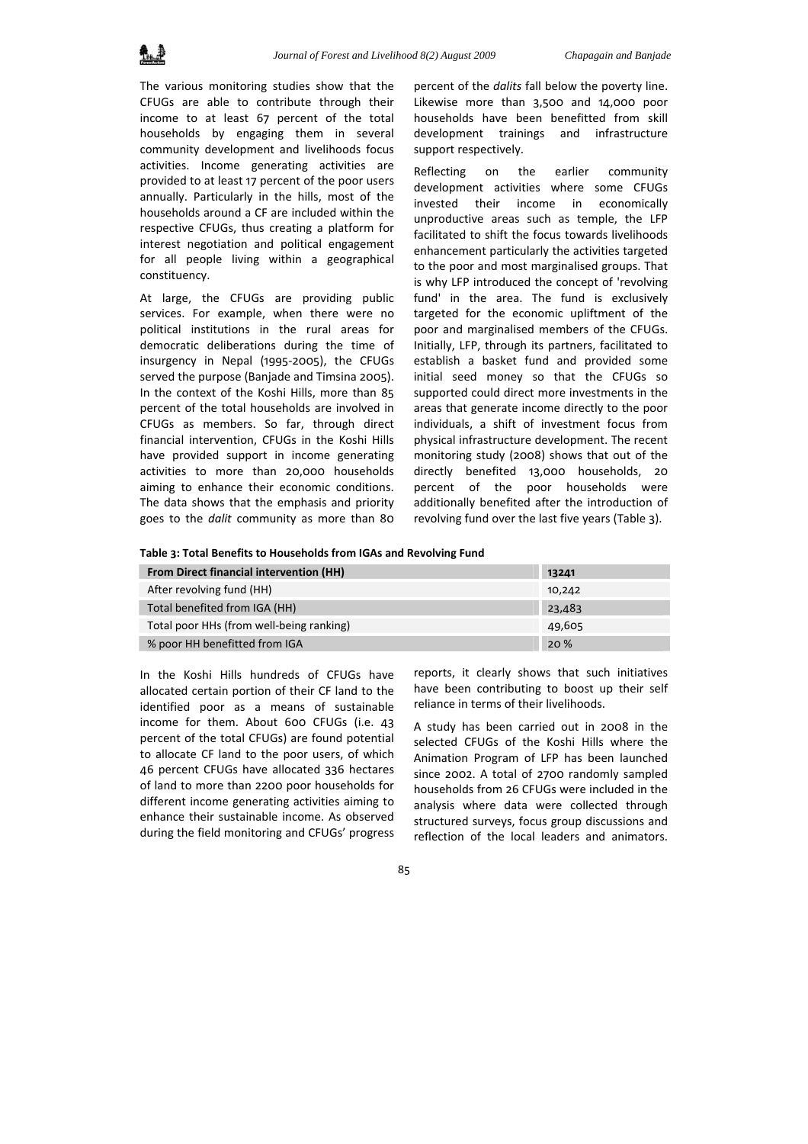The various monitoring studies show that the CFUGs are able to contribute through their income to at least 67 percent of the total households by engaging them in several community development and livelihoods focus activities. Income generating activities are provided to at least 17 percent of the poor users annually. Particularly in the hills, most of the households around a CF are included within the respective CFUGs, thus creating a platform for interest negotiation and political engagement for all people living within a geographical constituency.

At large, the CFUGs are providing public services. For example, when there were no political institutions in the rural areas for democratic deliberations during the time of insurgency in Nepal (1995‐2005), the CFUGs served the purpose (Banjade and Timsina 2005). In the context of the Koshi Hills, more than 85 percent of the total households are involved in CFUGs as members. So far, through direct financial intervention, CFUGs in the Koshi Hills have provided support in income generating activities to more than 20,000 households aiming to enhance their economic conditions. The data shows that the emphasis and priority goes to the *dalit* community as more than 80

percent of the *dalits* fall below the poverty line. Likewise more than 3,500 and 14,000 poor households have been benefitted from skill development trainings and infrastructure support respectively.

Reflecting on the earlier community development activities where some CFUGs invested their income in economically unproductive areas such as temple, the LFP facilitated to shift the focus towards livelihoods enhancement particularly the activities targeted to the poor and most marginalised groups. That is why LFP introduced the concept of 'revolving fund' in the area. The fund is exclusively targeted for the economic upliftment of the poor and marginalised members of the CFUGs. Initially, LFP, through its partners, facilitated to establish a basket fund and provided some initial seed money so that the CFUGs so supported could direct more investments in the areas that generate income directly to the poor individuals, a shift of investment focus from physical infrastructure development. The recent monitoring study (2008) shows that out of the directly benefited 13,000 households, 20 percent of the poor households were additionally benefited after the introduction of revolving fund over the last five years (Table 3).

**Table 3: Total Benefits to Households from IGAs and Revolving Fund**

| <b>From Direct financial intervention (HH)</b> | 13241  |
|------------------------------------------------|--------|
| After revolving fund (HH)                      | 10,242 |
| Total benefited from IGA (HH)                  | 23,483 |
| Total poor HHs (from well-being ranking)       | 49,605 |
| % poor HH benefitted from IGA                  | 20 %   |

In the Koshi Hills hundreds of CFUGs have allocated certain portion of their CF land to the identified poor as a means of sustainable income for them. About 600 CFUGs (i.e. 43 percent of the total CFUGs) are found potential to allocate CF land to the poor users, of which 46 percent CFUGs have allocated 336 hectares of land to more than 2200 poor households for different income generating activities aiming to enhance their sustainable income. As observed during the field monitoring and CFUGs' progress

reports, it clearly shows that such initiatives have been contributing to boost up their self reliance in terms of their livelihoods.

A study has been carried out in 2008 in the selected CFUGs of the Koshi Hills where the Animation Program of LFP has been launched since 2002. A total of 2700 randomly sampled households from 26 CFUGs were included in the analysis where data were collected through structured surveys, focus group discussions and reflection of the local leaders and animators.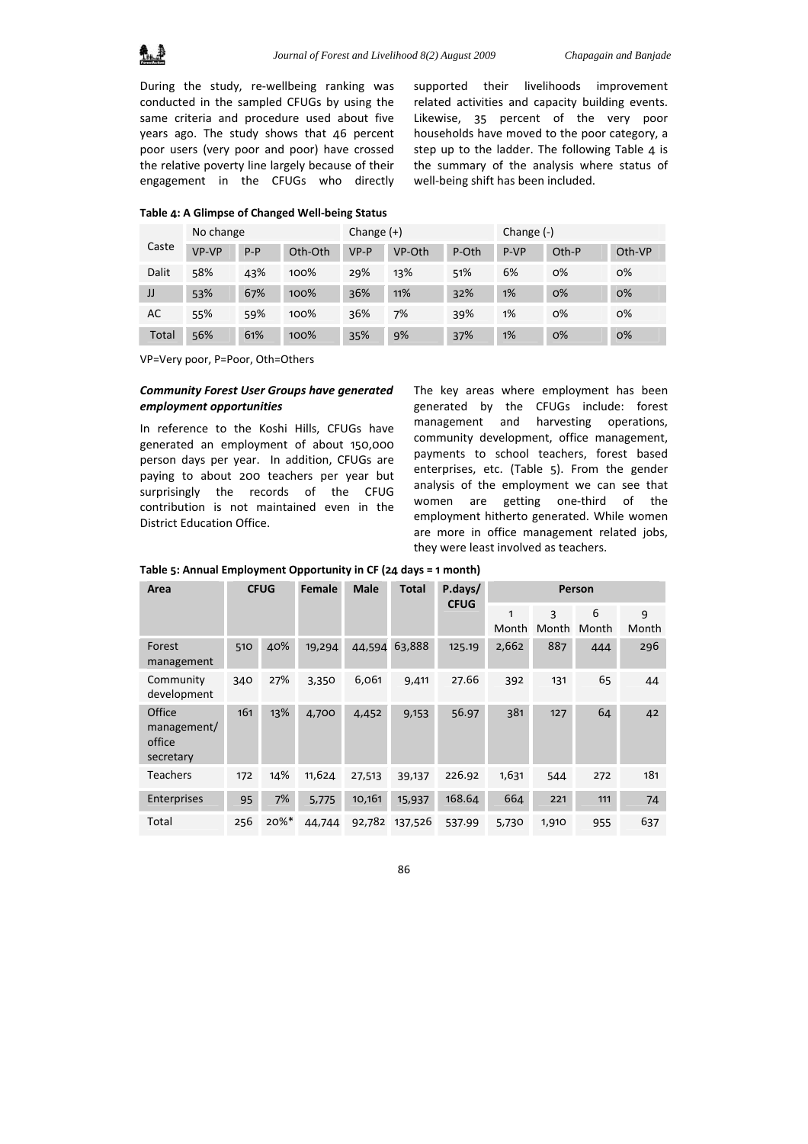During the study, re‐wellbeing ranking was conducted in the sampled CFUGs by using the same criteria and procedure used about five years ago. The study shows that 46 percent poor users (very poor and poor) have crossed the relative poverty line largely because of their engagement in the CFUGs who directly

supported their livelihoods improvement related activities and capacity building events. Likewise, 35 percent of the very poor households have moved to the poor category, a step up to the ladder. The following Table 4 is the summary of the analysis where status of well-being shift has been included.

#### **Table 4: A Glimpse of Changed Well‐being Status**

|       | No change |         |         | Change $(+)$ |        |       | Change $(-)$ |       |        |
|-------|-----------|---------|---------|--------------|--------|-------|--------------|-------|--------|
| Caste | VP-VP     | $P - P$ | Oth-Oth | $VP-P$       | VP-Oth | P-Oth | P-VP         | Oth-P | Oth-VP |
| Dalit | 58%       | 43%     | 100%    | 29%          | 13%    | 51%   | 6%           | $O\%$ | 0%     |
| IJ    | 53%       | 67%     | 100%    | 36%          | 11%    | 32%   | 1%           | $O\%$ | $O\%$  |
| AC    | 55%       | 59%     | 100%    | 36%          | 7%     | 39%   | 1%           | $O\%$ | 0%     |
| Total | 56%       | 61%     | 100%    | 35%          | 9%     | 37%   | 1%           | $O\%$ | $O\%$  |

VP=Very poor, P=Poor, Oth=Others

### *Community Forest User Groups have generated employment opportunities*

In reference to the Koshi Hills, CFUGs have generated an employment of about 150,000 person days per year. In addition, CFUGs are paying to about 200 teachers per year but surprisingly the records of the CFUG contribution is not maintained even in the District Education Office.

The key areas where employment has been generated by the CFUGs include: forest management and harvesting operations, community development, office management, payments to school teachers, forest based enterprises, etc. (Table 5). From the gender analysis of the employment we can see that women are getting one-third of the employment hitherto generated. While women are more in office management related jobs, they were least involved as teachers.

| Table 5: Annual Employment Opportunity in CF (24 days = 1 month) |
|------------------------------------------------------------------|
|                                                                  |

| Area                                         | <b>CFUG</b> |          | <b>Male</b><br><b>Female</b> |        | <b>Total</b> | P.days/<br><b>CFUG</b> | Person     |            |            |            |
|----------------------------------------------|-------------|----------|------------------------------|--------|--------------|------------------------|------------|------------|------------|------------|
|                                              |             |          |                              |        |              |                        | 1<br>Month | 3<br>Month | 6<br>Month | 9<br>Month |
| Forest<br>management                         | 510         | 40%      | 19,294                       | 44,594 | 63,888       | 125.19                 | 2,662      | 887        | 444        | 296        |
| Community<br>development                     | 340         | 27%      | 3,350                        | 6,061  | 9,411        | 27.66                  | 392        | 131        | 65         | 44         |
| Office<br>management/<br>office<br>secretary | 161         | 13%      | 4,700                        | 4,452  | 9,153        | 56.97                  | 381        | 127        | 64         | 42         |
| <b>Teachers</b>                              | 172         | 14%      | 11,624                       | 27,513 | 39,137       | 226.92                 | 1,631      | 544        | 272        | 181        |
| Enterprises                                  | 95          | 7%       | 5,775                        | 10,161 | 15,937       | 168.64                 | 664        | 221        | 111        | 74         |
| Total                                        | 256         | $20\%$ * | 44,744                       | 92,782 | 137,526      | 537.99                 | 5,730      | 1,910      | 955        | 637        |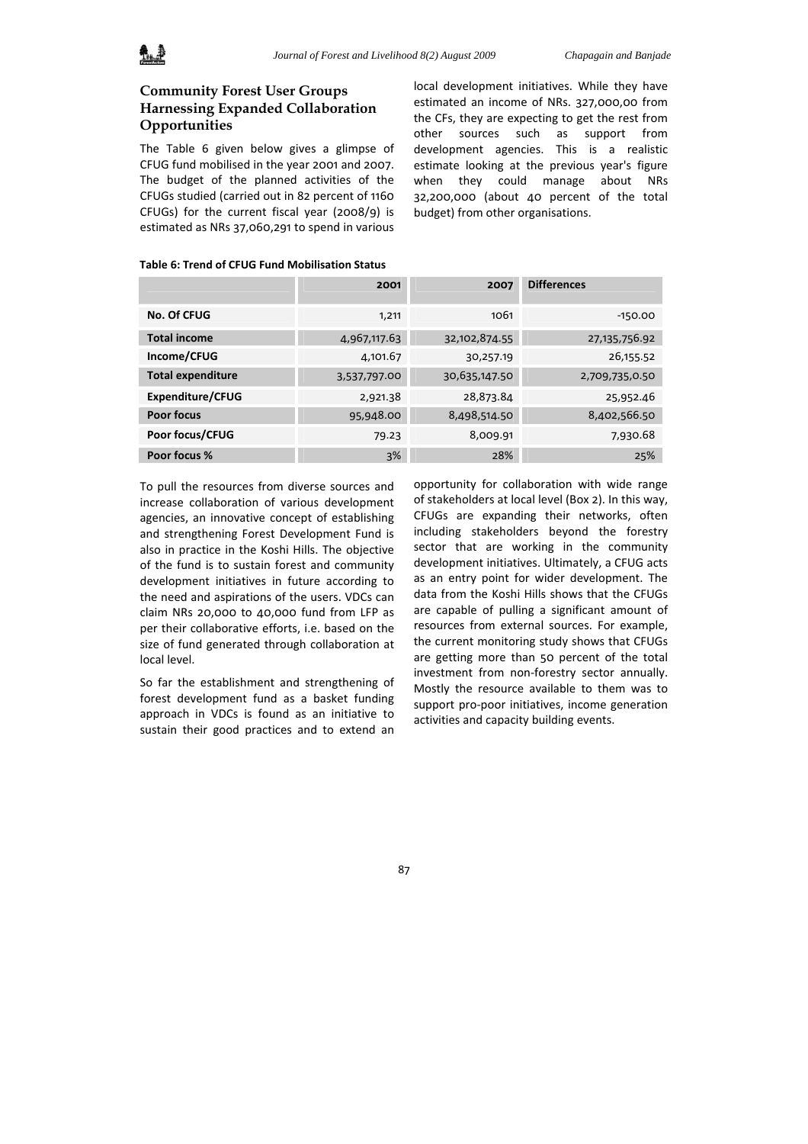

# **Community Forest User Groups Harnessing Expanded Collaboration Opportunities**

The Table 6 given below gives a glimpse of CFUG fund mobilised in the year 2001 and 2007. The budget of the planned activities of the CFUGs studied (carried out in 82 percent of 1160 CFUGs) for the current fiscal year (2008/9) is estimated as NRs 37,060,291 to spend in various local development initiatives. While they have estimated an income of NRs. 327,000,00 from the CFs, they are expecting to get the rest from other sources such as support from development agencies. This is a realistic estimate looking at the previous year's figure when they could manage about NRs 32,200,000 (about 40 percent of the total budget) from other organisations.

| Table 6: Trend of CFUG Fund Mobilisation Status |  |  |  |  |  |  |  |
|-------------------------------------------------|--|--|--|--|--|--|--|
|-------------------------------------------------|--|--|--|--|--|--|--|

|                          | 2001         | 2007          | <b>Differences</b> |
|--------------------------|--------------|---------------|--------------------|
| No. Of CFUG              | 1,211        | 1061          | $-150.00$          |
| <b>Total income</b>      | 4,967,117.63 | 32,102,874.55 | 27,135,756.92      |
| Income/CFUG              | 4,101.67     | 30,257.19     | 26,155.52          |
| <b>Total expenditure</b> | 3,537,797.00 | 30,635,147.50 | 2,709,735,0.50     |
| Expenditure/CFUG         | 2,921.38     | 28,873.84     | 25,952.46          |
| <b>Poor focus</b>        | 95,948.00    | 8,498,514.50  | 8,402,566.50       |
| Poor focus/CFUG          | 79.23        | 8,009.91      | 7,930.68           |
| Poor focus %             | 3%           | 28%           | 25%                |

To pull the resources from diverse sources and increase collaboration of various development agencies, an innovative concept of establishing and strengthening Forest Development Fund is also in practice in the Koshi Hills. The objective of the fund is to sustain forest and community development initiatives in future according to the need and aspirations of the users. VDCs can claim NRs 20,000 to 40,000 fund from LFP as per their collaborative efforts, i.e. based on the size of fund generated through collaboration at local level.

So far the establishment and strengthening of forest development fund as a basket funding approach in VDCs is found as an initiative to sustain their good practices and to extend an

opportunity for collaboration with wide range of stakeholders at local level (Box 2). In this way, CFUGs are expanding their networks, often including stakeholders beyond the forestry sector that are working in the community development initiatives. Ultimately, a CFUG acts as an entry point for wider development. The data from the Koshi Hills shows that the CFUGs are capable of pulling a significant amount of resources from external sources. For example, the current monitoring study shows that CFUGs are getting more than 50 percent of the total investment from non-forestry sector annually. Mostly the resource available to them was to support pro‐poor initiatives, income generation activities and capacity building events.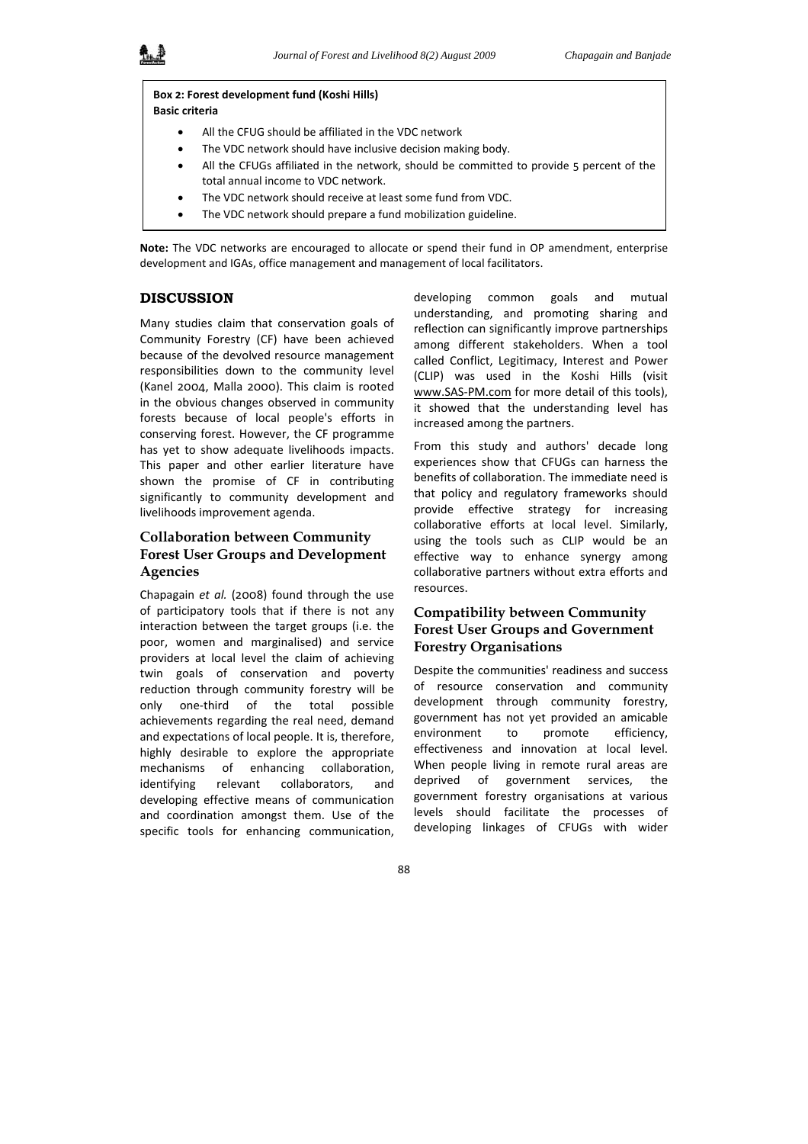### **Box 2: Forest development fund (Koshi Hills) Basic criteria**

- All the CFUG should be affiliated in the VDC network
- The VDC network should have inclusive decision making body.
- All the CFUGs affiliated in the network, should be committed to provide 5 percent of the total annual income to VDC network.
- The VDC network should receive at least some fund from VDC.
- The VDC network should prepare a fund mobilization guideline.

**Note:** The VDC networks are encouraged to allocate or spend their fund in OP amendment, enterprise development and IGAs, office management and management of local facilitators.

## **DISCUSSION**

Many studies claim that conservation goals of Community Forestry (CF) have been achieved because of the devolved resource management responsibilities down to the community level (Kanel 2004, Malla 2000). This claim is rooted in the obvious changes observed in community forests because of local people's efforts in conserving forest. However, the CF programme has yet to show adequate livelihoods impacts. This paper and other earlier literature have shown the promise of CF in contributing significantly to community development and livelihoods improvement agenda.

# **Collaboration between Community Forest User Groups and Development Agencies**

Chapagain *et al.* (2008) found through the use of participatory tools that if there is not any interaction between the target groups (i.e. the poor, women and marginalised) and service providers at local level the claim of achieving twin goals of conservation and poverty reduction through community forestry will be only one‐third of the total possible achievements regarding the real need, demand and expectations of local people. It is, therefore, highly desirable to explore the appropriate mechanisms of enhancing collaboration, identifying relevant collaborators, and developing effective means of communication and coordination amongst them. Use of the specific tools for enhancing communication,

developing common goals and mutual understanding, and promoting sharing and reflection can significantly improve partnerships among different stakeholders. When a tool called Conflict, Legitimacy, Interest and Power (CLIP) was used in the Koshi Hills (visit www.SAS‐PM.com for more detail of this tools), it showed that the understanding level has increased among the partners.

From this study and authors' decade long experiences show that CFUGs can harness the benefits of collaboration. The immediate need is that policy and regulatory frameworks should provide effective strategy for increasing collaborative efforts at local level. Similarly, using the tools such as CLIP would be an effective way to enhance synergy among collaborative partners without extra efforts and resources.

# **Compatibility between Community Forest User Groups and Government Forestry Organisations**

Despite the communities' readiness and success of resource conservation and community development through community forestry, government has not yet provided an amicable environment to promote efficiency, effectiveness and innovation at local level. When people living in remote rural areas are deprived of government services, the government forestry organisations at various levels should facilitate the processes of developing linkages of CFUGs with wider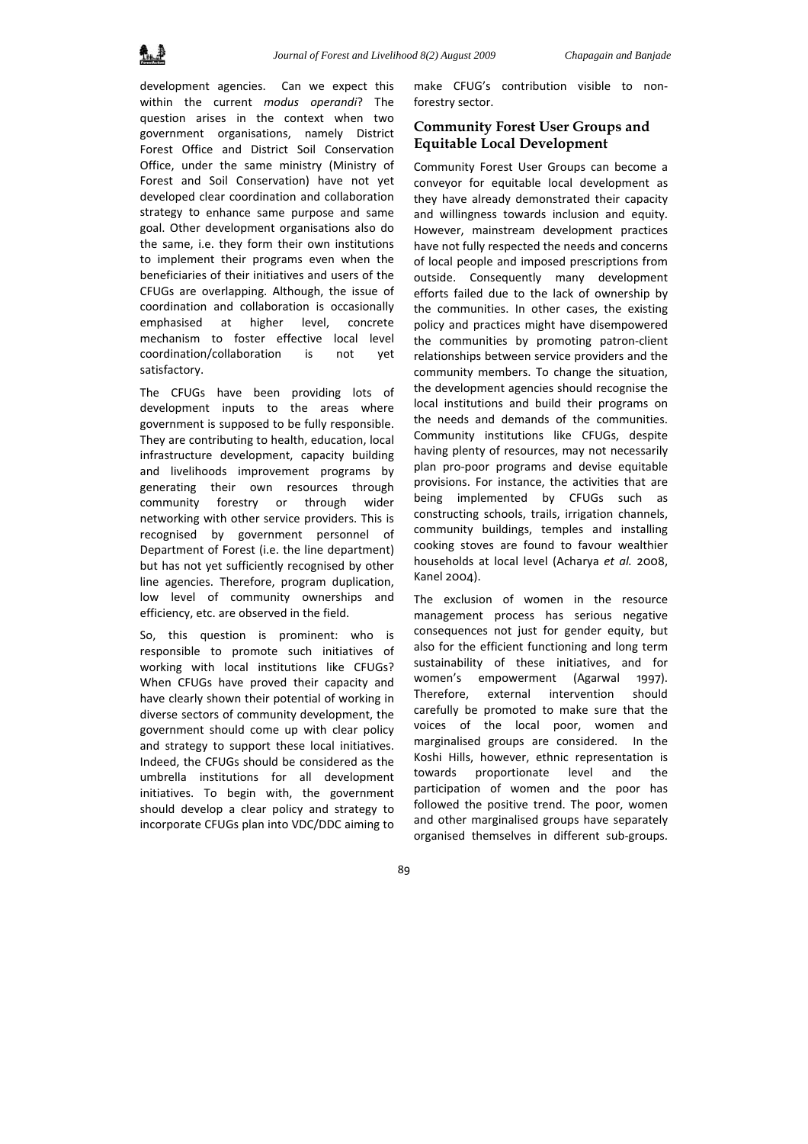development agencies. Can we expect this within the current *modus operandi*? The question arises in the context when two government organisations, namely District Forest Office and District Soil Conservation Office, under the same ministry (Ministry of Forest and Soil Conservation) have not yet developed clear coordination and collaboration strategy to enhance same purpose and same goal. Other development organisations also do the same, i.e. they form their own institutions to implement their programs even when the beneficiaries of their initiatives and users of the CFUGs are overlapping. Although, the issue of coordination and collaboration is occasionally emphasised at higher level, concrete mechanism to foster effective local level coordination/collaboration is not yet satisfactory.

The CFUGs have been providing lots of development inputs to the areas where government is supposed to be fully responsible. They are contributing to health, education, local infrastructure development, capacity building and livelihoods improvement programs by generating their own resources through community forestry or through wider networking with other service providers. This is recognised by government personnel of Department of Forest (i.e. the line department) but has not yet sufficiently recognised by other line agencies. Therefore, program duplication, low level of community ownerships and efficiency, etc. are observed in the field.

So, this question is prominent: who is responsible to promote such initiatives of working with local institutions like CFUGs? When CFUGs have proved their capacity and have clearly shown their potential of working in diverse sectors of community development, the government should come up with clear policy and strategy to support these local initiatives. Indeed, the CFUGs should be considered as the umbrella institutions for all development initiatives. To begin with, the government should develop a clear policy and strategy to incorporate CFUGs plan into VDC/DDC aiming to

make CFUG's contribution visible to non‐ forestry sector.

# **Community Forest User Groups and Equitable Local Development**

Community Forest User Groups can become a conveyor for equitable local development as they have already demonstrated their capacity and willingness towards inclusion and equity. However, mainstream development practices have not fully respected the needs and concerns of local people and imposed prescriptions from outside. Consequently many development efforts failed due to the lack of ownership by the communities. In other cases, the existing policy and practices might have disempowered the communities by promoting patron‐client relationships between service providers and the community members. To change the situation, the development agencies should recognise the local institutions and build their programs on the needs and demands of the communities. Community institutions like CFUGs, despite having plenty of resources, may not necessarily plan pro‐poor programs and devise equitable provisions. For instance, the activities that are being implemented by CFUGs such as constructing schools, trails, irrigation channels, community buildings, temples and installing cooking stoves are found to favour wealthier households at local level (Acharya *et al.* 2008, Kanel 2004).

The exclusion of women in the resource management process has serious negative consequences not just for gender equity, but also for the efficient functioning and long term sustainability of these initiatives, and for women's empowerment (Agarwal 1997). Therefore, external intervention should carefully be promoted to make sure that the voices of the local poor, women and marginalised groups are considered. In the Koshi Hills, however, ethnic representation is towards proportionate level and the participation of women and the poor has followed the positive trend. The poor, women and other marginalised groups have separately organised themselves in different sub‐groups.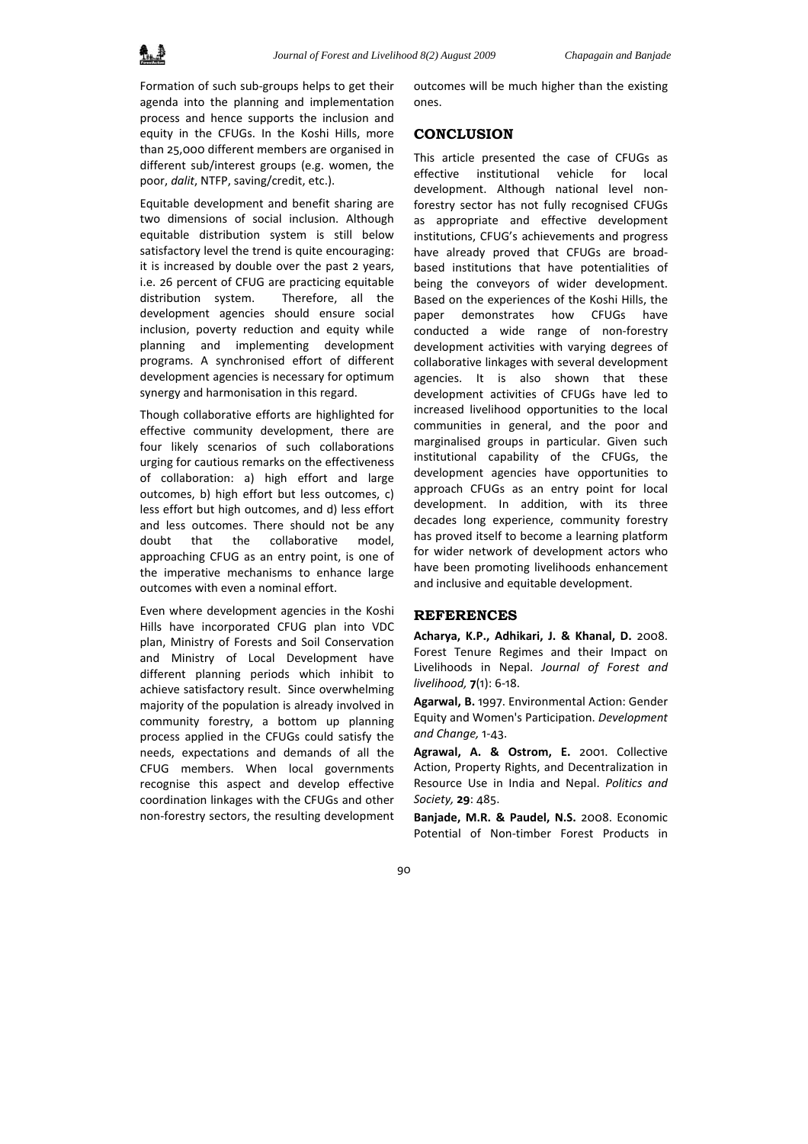Formation of such sub‐groups helps to get their agenda into the planning and implementation process and hence supports the inclusion and equity in the CFUGs. In the Koshi Hills, more than 25,000 different members are organised in different sub/interest groups (e.g. women, the poor, *dalit*, NTFP, saving/credit, etc.).

Equitable development and benefit sharing are two dimensions of social inclusion. Although equitable distribution system is still below satisfactory level the trend is quite encouraging: it is increased by double over the past 2 years, i.e. 26 percent of CFUG are practicing equitable distribution system. Therefore, all the development agencies should ensure social inclusion, poverty reduction and equity while planning and implementing development programs. A synchronised effort of different development agencies is necessary for optimum synergy and harmonisation in this regard.

Though collaborative efforts are highlighted for effective community development, there are four likely scenarios of such collaborations urging for cautious remarks on the effectiveness of collaboration: a) high effort and large outcomes, b) high effort but less outcomes, c) less effort but high outcomes, and d) less effort and less outcomes. There should not be any doubt that the collaborative model, approaching CFUG as an entry point, is one of the imperative mechanisms to enhance large outcomes with even a nominal effort.

Even where development agencies in the Koshi Hills have incorporated CFUG plan into VDC plan, Ministry of Forests and Soil Conservation and Ministry of Local Development have different planning periods which inhibit to achieve satisfactory result. Since overwhelming majority of the population is already involved in community forestry, a bottom up planning process applied in the CFUGs could satisfy the needs, expectations and demands of all the CFUG members. When local governments recognise this aspect and develop effective coordination linkages with the CFUGs and other non‐forestry sectors, the resulting development

outcomes will be much higher than the existing ones.

### **CONCLUSION**

This article presented the case of CFUGs as effective institutional vehicle for local development. Although national level non‐ forestry sector has not fully recognised CFUGs as appropriate and effective development institutions, CFUG's achievements and progress have already proved that CFUGs are broad‐ based institutions that have potentialities of being the conveyors of wider development. Based on the experiences of the Koshi Hills, the paper demonstrates how CFUGs have conducted a wide range of non‐forestry development activities with varying degrees of collaborative linkages with several development agencies. It is also shown that these development activities of CFUGs have led to increased livelihood opportunities to the local communities in general, and the poor and marginalised groups in particular. Given such institutional capability of the CFUGs, the development agencies have opportunities to approach CFUGs as an entry point for local development. In addition, with its three decades long experience, community forestry has proved itself to become a learning platform for wider network of development actors who have been promoting livelihoods enhancement and inclusive and equitable development.

### **REFERENCES**

**Acharya, K.P., Adhikari, J. & Khanal, D.** 2008. Forest Tenure Regimes and their Impact on Livelihoods in Nepal. *Journal of Forest and livelihood,* **7**(1): 6‐18.

**Agarwal, B.** 1997. Environmental Action: Gender Equity and Women's Participation. *Development and Change,* 1‐43.

**Agrawal, A. & Ostrom, E.** 2001. Collective Action, Property Rights, and Decentralization in Resource Use in India and Nepal. *Politics and Society,* **29**: 485.

**Banjade, M.R. & Paudel, N.S.** 2008. Economic Potential of Non‐timber Forest Products in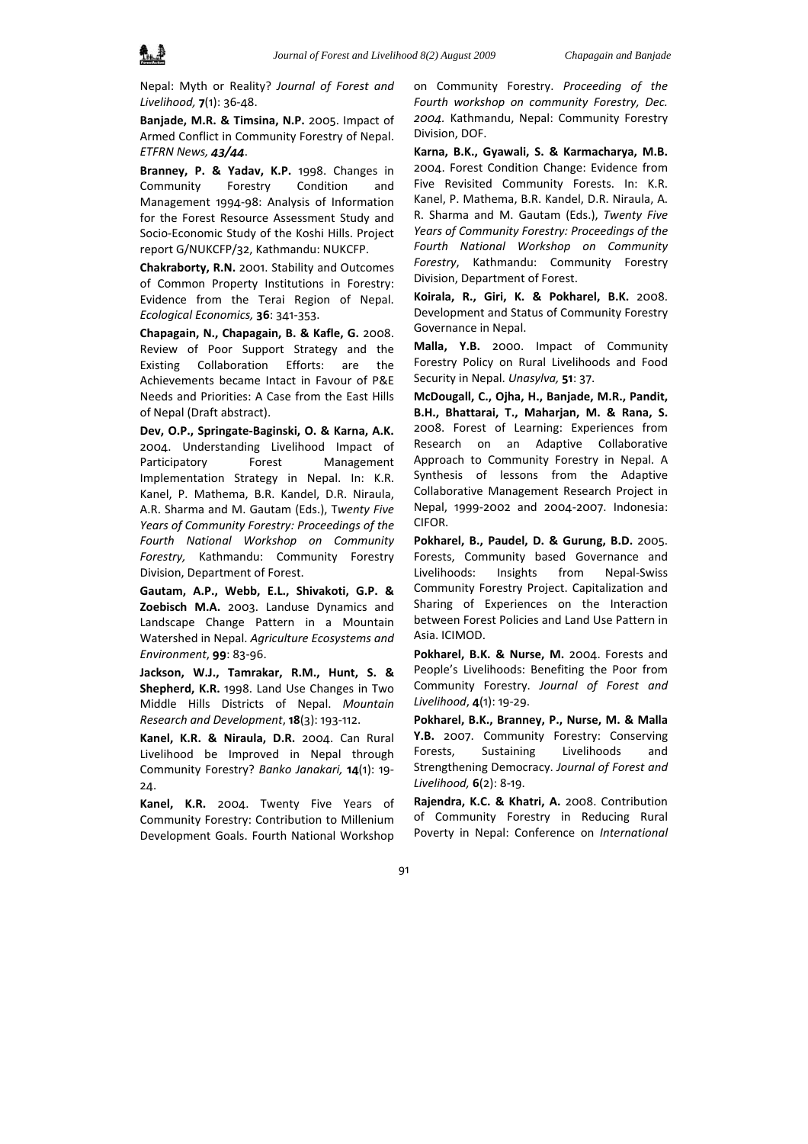

Nepal: Myth or Reality? *Journal of Forest and Livelihood,* **7**(1): 36‐48.

**Banjade, M.R. & Timsina, N.P.** 2005. Impact of Armed Conflict in Community Forestry of Nepal. *ETFRN News, 43/44*.

**Branney, P. & Yadav, K.P.** 1998. Changes in Community Forestry Condition and Management 1994‐98: Analysis of Information for the Forest Resource Assessment Study and Socio‐Economic Study of the Koshi Hills. Project report G/NUKCFP/32, Kathmandu: NUKCFP.

**Chakraborty, R.N.** 2001. Stability and Outcomes of Common Property Institutions in Forestry: Evidence from the Terai Region of Nepal. *Ecological Economics,* **36**: 341‐353.

**Chapagain, N., Chapagain, B. & Kafle, G.** 2008. Review of Poor Support Strategy and the Existing Collaboration Efforts: are the Achievements became Intact in Favour of P&E Needs and Priorities: A Case from the East Hills of Nepal (Draft abstract).

**Dev, O.P., Springate‐Baginski, O. & Karna, A.K.** 2004. Understanding Livelihood Impact of Participatory Forest Management Implementation Strategy in Nepal. In: K.R. Kanel, P. Mathema, B.R. Kandel, D.R. Niraula, A.R. Sharma and M. Gautam (Eds.), T*wenty Five Years of Community Forestry: Proceedings of the Fourth National Workshop on Community Forestry,* Kathmandu: Community Forestry Division, Department of Forest.

**Gautam, A.P., Webb, E.L., Shivakoti, G.P. & Zoebisch M.A.** 2003. Landuse Dynamics and Landscape Change Pattern in a Mountain Watershed in Nepal. *Agriculture Ecosystems and Environment*, **99**: 83‐96.

**Jackson, W.J., Tamrakar, R.M., Hunt, S. & Shepherd, K.R.** 1998. Land Use Changes in Two Middle Hills Districts of Nepal. *Mountain Research and Development*, **18**(3): 193‐112.

**Kanel, K.R. & Niraula, D.R.** 2004. Can Rural Livelihood be Improved in Nepal through Community Forestry? *Banko Janakari,* **14**(1): 19‐ 24.

**Kanel, K.R.** 2004. Twenty Five Years of Community Forestry: Contribution to Millenium Development Goals. Fourth National Workshop on Community Forestry. *Proceeding of the Fourth workshop on community Forestry, Dec. 2004.* Kathmandu, Nepal: Community Forestry Division, DOF.

**Karna, B.K., Gyawali, S. & Karmacharya, M.B.** 2004. Forest Condition Change: Evidence from Five Revisited Community Forests. In: K.R. Kanel, P. Mathema, B.R. Kandel, D.R. Niraula, A. R. Sharma and M. Gautam (Eds.), *Twenty Five Years of Community Forestry: Proceedings of the Fourth National Workshop on Community Forestry*, Kathmandu: Community Forestry Division, Department of Forest.

**Koirala, R., Giri, K. & Pokharel, B.K.** 2008. Development and Status of Community Forestry Governance in Nepal.

**Malla, Y.B.** 2000. Impact of Community Forestry Policy on Rural Livelihoods and Food Security in Nepal. *Unasylva,* **51**: 37.

**McDougall, C., Ojha, H., Banjade, M.R., Pandit, B.H., Bhattarai, T., Maharjan, M. & Rana, S.** 2008. Forest of Learning: Experiences from Research on an Adaptive Collaborative Approach to Community Forestry in Nepal. A Synthesis of lessons from the Adaptive Collaborative Management Research Project in Nepal, 1999‐2002 and 2004‐2007. Indonesia: CIFOR.

**Pokharel, B., Paudel, D. & Gurung, B.D.** 2005. Forests, Community based Governance and Livelihoods: Insights from Nepal‐Swiss Community Forestry Project. Capitalization and Sharing of Experiences on the Interaction between Forest Policies and Land Use Pattern in Asia. ICIMOD.

**Pokharel, B.K. & Nurse, M.** 2004. Forests and People's Livelihoods: Benefiting the Poor from Community Forestry. *Journal of Forest and Livelihood*, **4**(1): 19‐29.

**Pokharel, B.K., Branney, P., Nurse, M. & Malla Y.B.** 2007. Community Forestry: Conserving Forests, Sustaining Livelihoods and Strengthening Democracy. *Journal of Forest and Livelihood,* **6**(2): 8‐19.

**Rajendra, K.C. & Khatri, A.** 2008. Contribution of Community Forestry in Reducing Rural Poverty in Nepal: Conference on *International*